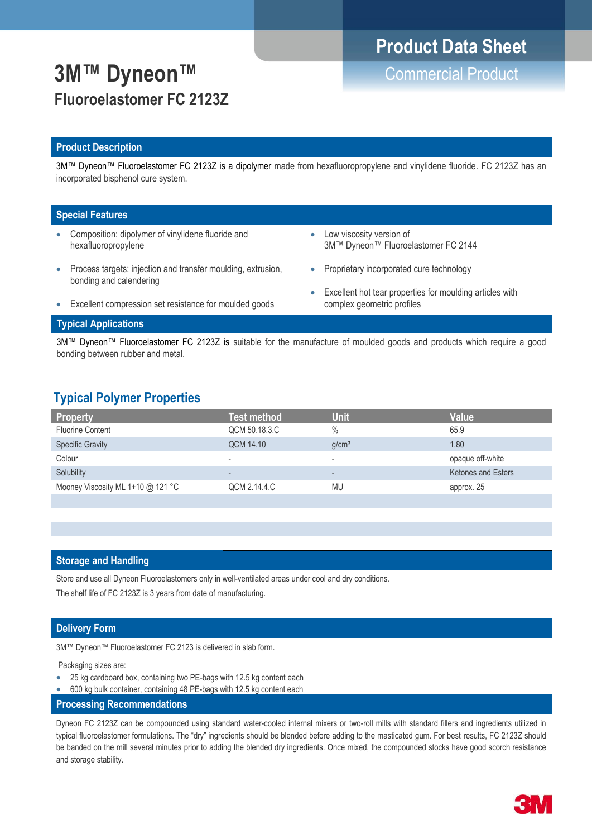# **Product Data Sheet**

# **3M™ Dyneon™** Commercial Product **Fluoroelastomer FC 2123Z**

#### **Product Description**

3M™ Dyneon™ Fluoroelastomer FC 2123Z is a dipolymer made from hexafluoropropylene and vinylidene fluoride. FC 2123Z has an incorporated bisphenol cure system.

#### **Special Features**

- Composition: dipolymer of vinylidene fluoride and hexafluoropropylene
	- Process targets: injection and transfer moulding, extrusion, bonding and calendering
- Low viscosity version of 3M™ Dyneon™ Fluoroelastomer FC 2144
- Proprietary incorporated cure technology
	- Excellent hot tear properties for moulding articles with complex geometric profiles
- Excellent compression set resistance for moulded goods

#### **Typical Applications**

3M™ Dyneon™ Fluoroelastomer FC 2123Z is suitable for the manufacture of moulded goods and products which require a good bonding between rubber and metal.

### **Typical Polymer Properties**

| <b>Property</b>                   | Test method              | <b>Unit</b>              | <b>Value</b>              |
|-----------------------------------|--------------------------|--------------------------|---------------------------|
| <b>Fluorine Content</b>           | QCM 50.18.3.C            | $\frac{0}{0}$            | 65.9                      |
| <b>Specific Gravity</b>           | QCM 14.10                | q/cm <sup>3</sup>        | 1.80                      |
| Colour                            | $\overline{\phantom{a}}$ | $\overline{\phantom{a}}$ | opaque off-white          |
| Solubility                        | $\overline{\phantom{0}}$ | $\overline{\phantom{a}}$ | <b>Ketones and Esters</b> |
| Mooney Viscosity ML 1+10 @ 121 °C | QCM 2.14.4.C             | MU                       | approx. 25                |
|                                   |                          |                          |                           |

#### **Storage and Handling**

Store and use all Dyneon Fluoroelastomers only in well-ventilated areas under cool and dry conditions.

The shelf life of FC 2123Z is 3 years from date of manufacturing.

#### **Delivery Form**

3M™ Dyneon™ Fluoroelastomer FC 2123 is delivered in slab form.

Packaging sizes are:

- 25 kg cardboard box, containing two PE-bags with 12.5 kg content each
- 600 kg bulk container, containing 48 PE-bags with 12.5 kg content each
- **Processing Recommendations**

Dyneon FC 2123Z can be compounded using standard water-cooled internal mixers or two-roll mills with standard fillers and ingredients utilized in typical fluoroelastomer formulations. The "dry" ingredients should be blended before adding to the masticated gum. For best results, FC 2123Z should be banded on the mill several minutes prior to adding the blended dry ingredients. Once mixed, the compounded stocks have good scorch resistance and storage stability.

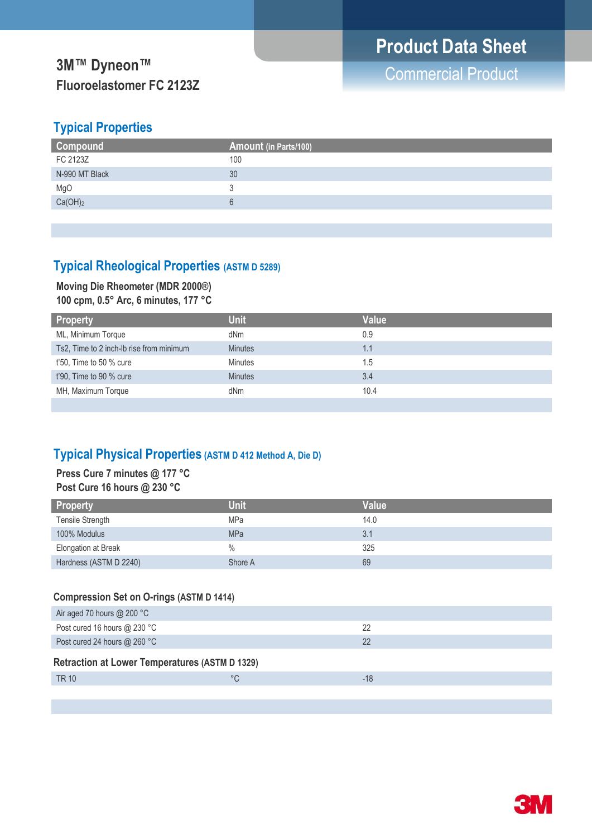## **Typical Properties**

| <b>Compound</b>     | <b>Amount (in Parts/100)</b> |
|---------------------|------------------------------|
| FC 2123Z            | 100                          |
| N-990 MT Black      | 30                           |
| MgO                 |                              |
| Ca(OH) <sub>2</sub> |                              |
|                     |                              |

## **Typical Rheological Properties (ASTM D 5289)**

### **Moving Die Rheometer (MDR 2000®) 100 cpm, 0.5° Arc, 6 minutes, 177 °C**

| <b>Property</b>                          | <b>Unit</b>    | Value |
|------------------------------------------|----------------|-------|
| ML, Minimum Torque                       | dNm            | 0.9   |
| Ts2, Time to 2 inch-lb rise from minimum | <b>Minutes</b> | 1.1   |
| $t'50$ , Time to 50 % cure               | <b>Minutes</b> | 1.5   |
| t'90, Time to 90 % cure                  | <b>Minutes</b> | 3.4   |
| MH, Maximum Torque                       | dNm            | 10.4  |
|                                          |                |       |

## **Typical Physical Properties (ASTM D 412 Method A, Die D)**

### **Press Cure 7 minutes @ 177 °C Post Cure 16 hours @ 230 °C**

| <b>Property</b>        | <b>Unit</b>   | <b>Value</b> |
|------------------------|---------------|--------------|
| Tensile Strength       | <b>MPa</b>    | 14.0         |
| 100% Modulus           | <b>MPa</b>    | 3.1          |
| Elongation at Break    | $\frac{0}{0}$ | 325          |
| Hardness (ASTM D 2240) | Shore A       | 69           |

## **Compression Set on O-rings (ASTM D 1414)**

| Air aged 70 hours $@$ 200 °C                          |    |       |
|-------------------------------------------------------|----|-------|
| Post cured 16 hours @ 230 °C                          |    | 22    |
| Post cured 24 hours @ 260 °C                          |    | 22    |
| <b>Retraction at Lower Temperatures (ASTM D 1329)</b> |    |       |
| TR 10                                                 | °C | $-18$ |
|                                                       |    |       |